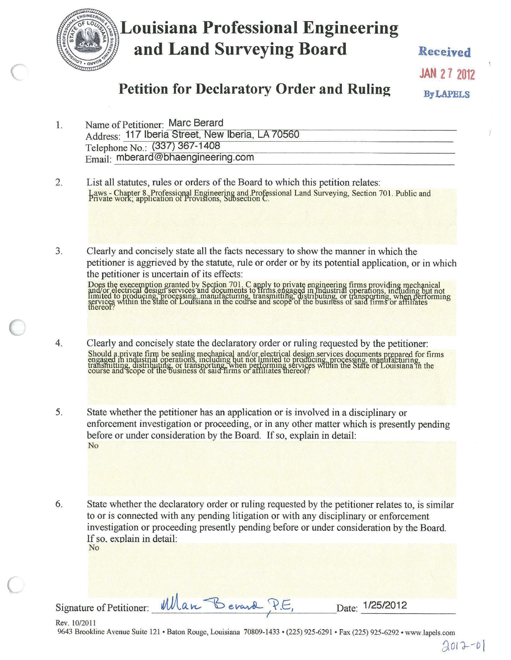

# **Louisiana Professional Engineering** and Land Surveying Board

**JAN 27 2012** 

Received

# **Petition for Declaratory Order and Ruling**

**By LAPELS** 

|  | Name of Petitioner: Marc Berard                  |  |
|--|--------------------------------------------------|--|
|  | Address: 117 Iberia Street, New Iberia, LA 70560 |  |
|  | Telephone No.: (337) 367-1408                    |  |
|  | Email: mberard@bhaengineering.com                |  |

- 2. List all statutes, rules or orders of the Board to which this petition relates: Laws - Chapter 8, Professional Engineering and Professional Land Surveying, Section 701. Public and<br>Private work, application of Provisions, Subsection C.
- $3.$ Clearly and concisely state all the facts necessary to show the manner in which the petitioner is aggrieved by the statute, rule or order or by its potential application, or in which the petitioner is uncertain of its effects:

Does the execemption granted by Section 701. C apply to private engineering firms providing mechanical<br>and/or electrical design services and documents to firms, engaged in industrial operations, including but not<br>limited t

- Clearly and concisely state the declaratory order or ruling requested by the petitioner:  $4.$ Should a private firm be sealing mechanical and/or electrical design services documents prepared for firms<br>engaged in industrial operations, including but not limited to producing, processing, manufacturing,<br>transmitting,
- 5. State whether the petitioner has an application or is involved in a disciplinary or enforcement investigation or proceeding, or in any other matter which is presently pending before or under consideration by the Board. If so, explain in detail: No
- 6. State whether the declaratory order or ruling requested by the petitioner relates to, is similar to or is connected with any pending litigation or with any disciplinary or enforcement investigation or proceeding presently pending before or under consideration by the Board. If so, explain in detail: No

Signature of Petitioner:

Rev. 10/2011 9643 Brookline Avenue Suite 121 • Baton Rouge, Louisiana 70809-1433 • (225) 925-6291 • Fax (225) 925-6292 • www.lapels.com

Date: 1/25/2012

 $2012 - 0$ 

Man Berard P.E.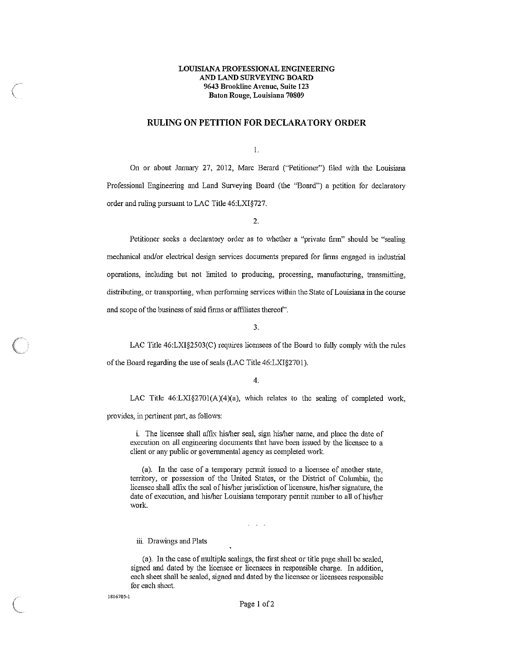## **LOUISIANA PROFESSIONAL ENGINEERING AND LAND SURVEYING BOARD 9643 Brookline Avenue, Suite 123 Baton Rouge, Louisiana 70809**

# **RULING ON PETITION FOR DECLARATORY ORDER**

I.

On or about January 27, 2012, Marc Berard ("Petitioner") ftled with the Louisiana Professional Engineering and Land Surveying Board (the "Board") a petition for declaratory order and ruling pursuant to LAC Title 46:LXl§727.

2.

Petitioner seeks a declaratory order as to whether a "private firm" should be "sealing mechanical and/or electrical design services documents prepared for finns engaged in industrial operations, including but not limited to producing, processing, manufacturing, transmitting, distributing, or transporting, when perfonning services within the State of Louisiana in the course and scope of the business of said firms or affiliates thereof".

3.

LAC Title 46:LXI§2503(C) requires licensees of the Board to fully comply \\ith the rules of the Board regarding the use of seals (LAC Title 46:LXl§2701).

4.

LAC Title  $46: LXI_{S}^{2701}(A)(4)(a)$ , which relates to the sealing of completed work,

provides, in pertinent part, as follows:

i. The licensee shall affix his/her seal, sign his/her name, and place the date of execution on all engineering documents that have been issued by the licensee to a client or any public or governmental agency as completed work.

(a). In the case of a temporary pennit issued to a licensee of another state, territory, or possession of the United States, or the District of Columbia, the licensee shall affix the seal of his/her jurisdiction of licensure, his/her signature, the date of execution, and his/her Louisiana temporary pennit number to all of his/her work.

 $\mathcal{L}^{\text{max}}$  and  $\mathcal{L}^{\text{max}}$ 

#### iii. Drawings and Plats

(a). In the case of multiple sealings, the first sheet or title page shall be sealed, signed and dated by the licensee or licensees in responsible charge. In addition, each sheet shall be sealed, signed and dated by the licensee or licensees responsible for each sheet.